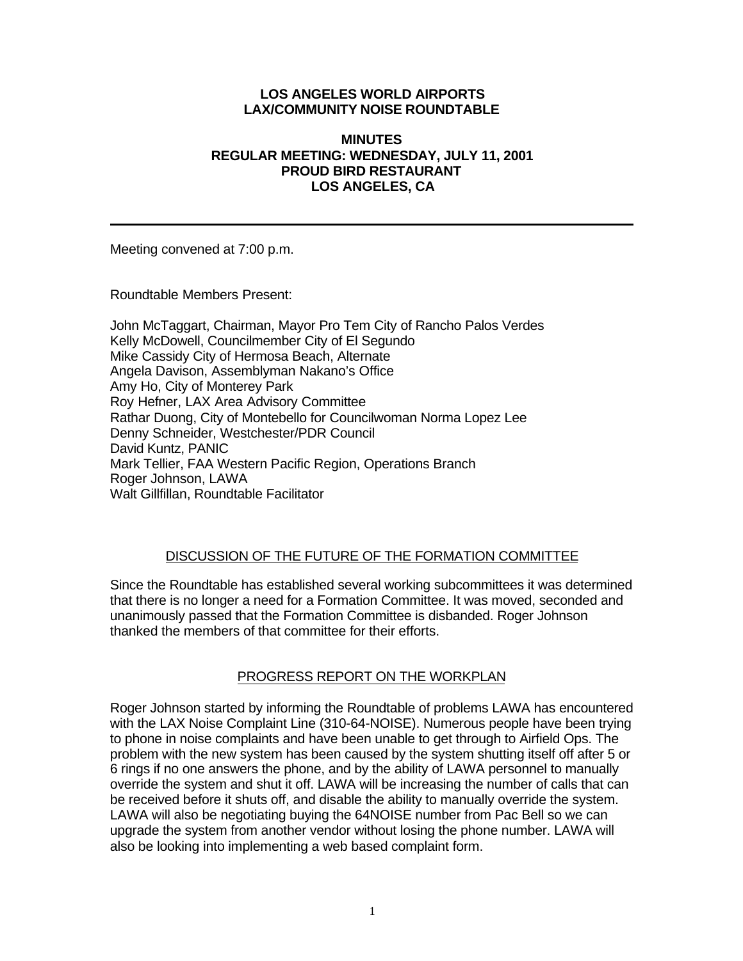# **LOS ANGELES WORLD AIRPORTS LAX/COMMUNITY NOISE ROUNDTABLE**

#### **MINUTES REGULAR MEETING: WEDNESDAY, JULY 11, 2001 PROUD BIRD RESTAURANT LOS ANGELES, CA**

Meeting convened at 7:00 p.m.

Roundtable Members Present:

John McTaggart, Chairman, Mayor Pro Tem City of Rancho Palos Verdes Kelly McDowell, Councilmember City of El Segundo Mike Cassidy City of Hermosa Beach, Alternate Angela Davison, Assemblyman Nakano's Office Amy Ho, City of Monterey Park Roy Hefner, LAX Area Advisory Committee Rathar Duong, City of Montebello for Councilwoman Norma Lopez Lee Denny Schneider, Westchester/PDR Council David Kuntz, PANIC Mark Tellier, FAA Western Pacific Region, Operations Branch Roger Johnson, LAWA Walt Gillfillan, Roundtable Facilitator

# DISCUSSION OF THE FUTURE OF THE FORMATION COMMITTEE

Since the Roundtable has established several working subcommittees it was determined that there is no longer a need for a Formation Committee. It was moved, seconded and unanimously passed that the Formation Committee is disbanded. Roger Johnson thanked the members of that committee for their efforts.

# PROGRESS REPORT ON THE WORKPLAN

Roger Johnson started by informing the Roundtable of problems LAWA has encountered with the LAX Noise Complaint Line (310-64-NOISE). Numerous people have been trying to phone in noise complaints and have been unable to get through to Airfield Ops. The problem with the new system has been caused by the system shutting itself off after 5 or 6 rings if no one answers the phone, and by the ability of LAWA personnel to manually override the system and shut it off. LAWA will be increasing the number of calls that can be received before it shuts off, and disable the ability to manually override the system. LAWA will also be negotiating buying the 64NOISE number from Pac Bell so we can upgrade the system from another vendor without losing the phone number. LAWA will also be looking into implementing a web based complaint form.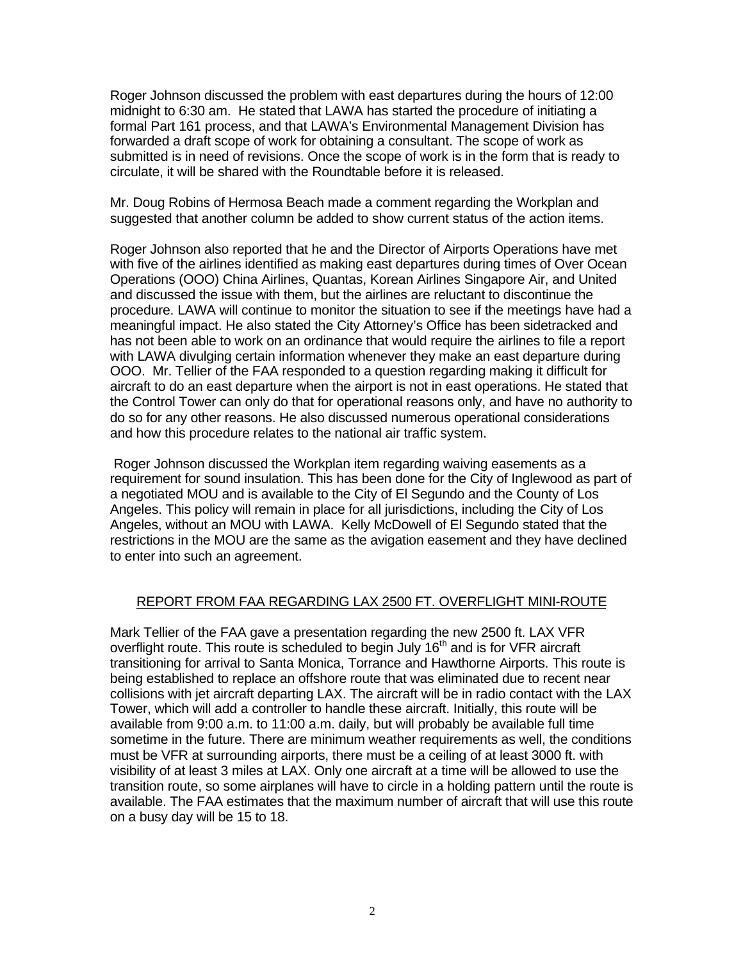Roger Johnson discussed the problem with east departures during the hours of 12:00 midnight to 6:30 am. He stated that LAWA has started the procedure of initiating a formal Part 161 process, and that LAWA's Environmental Management Division has forwarded a draft scope of work for obtaining a consultant. The scope of work as submitted is in need of revisions. Once the scope of work is in the form that is ready to circulate, it will be shared with the Roundtable before it is released.

Mr. Doug Robins of Hermosa Beach made a comment regarding the Workplan and suggested that another column be added to show current status of the action items.

Roger Johnson also reported that he and the Director of Airports Operations have met with five of the airlines identified as making east departures during times of Over Ocean Operations (OOO) China Airlines, Quantas, Korean Airlines Singapore Air, and United and discussed the issue with them, but the airlines are reluctant to discontinue the procedure. LAWA will continue to monitor the situation to see if the meetings have had a meaningful impact. He also stated the City Attorney's Office has been sidetracked and has not been able to work on an ordinance that would require the airlines to file a report with LAWA divulging certain information whenever they make an east departure during OOO. Mr. Tellier of the FAA responded to a question regarding making it difficult for aircraft to do an east departure when the airport is not in east operations. He stated that the Control Tower can only do that for operational reasons only, and have no authority to do so for any other reasons. He also discussed numerous operational considerations and how this procedure relates to the national air traffic system.

 Roger Johnson discussed the Workplan item regarding waiving easements as a requirement for sound insulation. This has been done for the City of Inglewood as part of a negotiated MOU and is available to the City of El Segundo and the County of Los Angeles. This policy will remain in place for all jurisdictions, including the City of Los Angeles, without an MOU with LAWA. Kelly McDowell of El Segundo stated that the restrictions in the MOU are the same as the avigation easement and they have declined to enter into such an agreement.

#### REPORT FROM FAA REGARDING LAX 2500 FT. OVERFLIGHT MINI-ROUTE

Mark Tellier of the FAA gave a presentation regarding the new 2500 ft. LAX VFR overflight route. This route is scheduled to begin July 16<sup>th</sup> and is for VFR aircraft transitioning for arrival to Santa Monica, Torrance and Hawthorne Airports. This route is being established to replace an offshore route that was eliminated due to recent near collisions with jet aircraft departing LAX. The aircraft will be in radio contact with the LAX Tower, which will add a controller to handle these aircraft. Initially, this route will be available from 9:00 a.m. to 11:00 a.m. daily, but will probably be available full time sometime in the future. There are minimum weather requirements as well, the conditions must be VFR at surrounding airports, there must be a ceiling of at least 3000 ft. with visibility of at least 3 miles at LAX. Only one aircraft at a time will be allowed to use the transition route, so some airplanes will have to circle in a holding pattern until the route is available. The FAA estimates that the maximum number of aircraft that will use this route on a busy day will be 15 to 18.